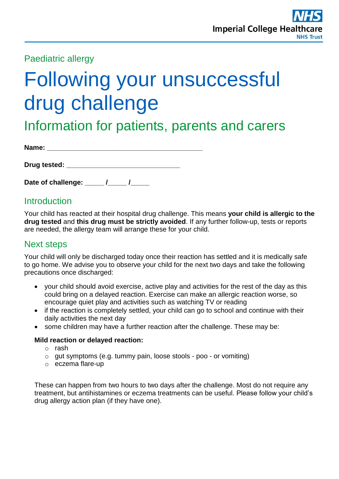Paediatric allergy

# Following your unsuccessful drug challenge

Information for patients, parents and carers

| Name: |  |  |  |  |
|-------|--|--|--|--|
|       |  |  |  |  |

**Date of challenge: \_\_\_\_\_ /\_\_\_\_\_ /\_\_\_\_\_** 

**Drug tested:**  $\blacksquare$ 

## **Introduction**

Your child has reacted at their hospital drug challenge. This means **your child is allergic to the drug tested** and **this drug must be strictly avoided**. If any further follow-up, tests or reports are needed, the allergy team will arrange these for your child.

## Next steps

Your child will only be discharged today once their reaction has settled and it is medically safe to go home. We advise you to observe your child for the next two days and take the following precautions once discharged:

- your child should avoid exercise, active play and activities for the rest of the day as this could bring on a delayed reaction. Exercise can make an allergic reaction worse, so encourage quiet play and activities such as watching TV or reading
- if the reaction is completely settled, your child can go to school and continue with their daily activities the next day
- some children may have a further reaction after the challenge. These may be:

#### **Mild reaction or delayed reaction:**

- o rash
- o gut symptoms (e.g. tummy pain, loose stools poo or vomiting)
- o eczema flare-up

These can happen from two hours to two days after the challenge. Most do not require any treatment, but antihistamines or eczema treatments can be useful. Please follow your child's drug allergy action plan (if they have one).